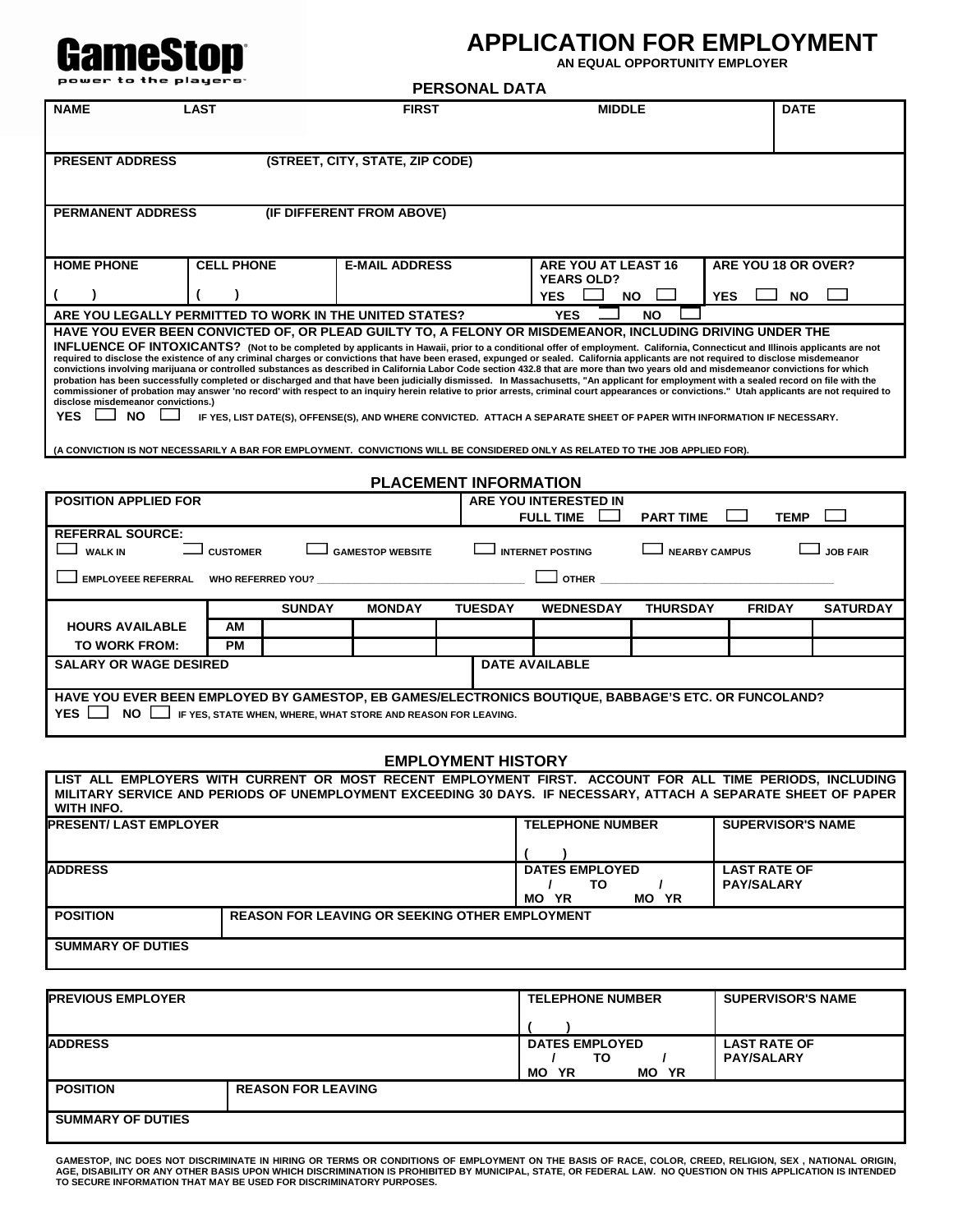# **EXAMPLICATION FOR EMPLOYMENT**

**AN EQUAL OPPORTUNITY EMPLOYER** 

| power to the players                                                                                                                                                                                                                            |                                                                                                                                                                                                                                                                                                                                                                                                                                                                                                                                                                                                                                                                                                                                                                                                                                                                                                                                                                                                                                                                                                                                                                                                                                  |                                 |                       | <b>PERSONAL DATA</b>         |                                           |                  |                          |                 |
|-------------------------------------------------------------------------------------------------------------------------------------------------------------------------------------------------------------------------------------------------|----------------------------------------------------------------------------------------------------------------------------------------------------------------------------------------------------------------------------------------------------------------------------------------------------------------------------------------------------------------------------------------------------------------------------------------------------------------------------------------------------------------------------------------------------------------------------------------------------------------------------------------------------------------------------------------------------------------------------------------------------------------------------------------------------------------------------------------------------------------------------------------------------------------------------------------------------------------------------------------------------------------------------------------------------------------------------------------------------------------------------------------------------------------------------------------------------------------------------------|---------------------------------|-----------------------|------------------------------|-------------------------------------------|------------------|--------------------------|-----------------|
| <b>NAME</b>                                                                                                                                                                                                                                     | <b>LAST</b>                                                                                                                                                                                                                                                                                                                                                                                                                                                                                                                                                                                                                                                                                                                                                                                                                                                                                                                                                                                                                                                                                                                                                                                                                      |                                 | <b>FIRST</b>          |                              | <b>MIDDLE</b>                             |                  | <b>DATE</b>              |                 |
|                                                                                                                                                                                                                                                 |                                                                                                                                                                                                                                                                                                                                                                                                                                                                                                                                                                                                                                                                                                                                                                                                                                                                                                                                                                                                                                                                                                                                                                                                                                  |                                 |                       |                              |                                           |                  |                          |                 |
| <b>PRESENT ADDRESS</b>                                                                                                                                                                                                                          |                                                                                                                                                                                                                                                                                                                                                                                                                                                                                                                                                                                                                                                                                                                                                                                                                                                                                                                                                                                                                                                                                                                                                                                                                                  | (STREET, CITY, STATE, ZIP CODE) |                       |                              |                                           |                  |                          |                 |
|                                                                                                                                                                                                                                                 |                                                                                                                                                                                                                                                                                                                                                                                                                                                                                                                                                                                                                                                                                                                                                                                                                                                                                                                                                                                                                                                                                                                                                                                                                                  |                                 |                       |                              |                                           |                  |                          |                 |
| <b>PERMANENT ADDRESS</b>                                                                                                                                                                                                                        |                                                                                                                                                                                                                                                                                                                                                                                                                                                                                                                                                                                                                                                                                                                                                                                                                                                                                                                                                                                                                                                                                                                                                                                                                                  | (IF DIFFERENT FROM ABOVE)       |                       |                              |                                           |                  |                          |                 |
|                                                                                                                                                                                                                                                 |                                                                                                                                                                                                                                                                                                                                                                                                                                                                                                                                                                                                                                                                                                                                                                                                                                                                                                                                                                                                                                                                                                                                                                                                                                  |                                 |                       |                              |                                           |                  |                          |                 |
| <b>HOME PHONE</b>                                                                                                                                                                                                                               | <b>CELL PHONE</b>                                                                                                                                                                                                                                                                                                                                                                                                                                                                                                                                                                                                                                                                                                                                                                                                                                                                                                                                                                                                                                                                                                                                                                                                                |                                 | <b>E-MAIL ADDRESS</b> |                              | ARE YOU AT LEAST 16<br><b>YEARS OLD?</b>  |                  | ARE YOU 18 OR OVER?      |                 |
|                                                                                                                                                                                                                                                 |                                                                                                                                                                                                                                                                                                                                                                                                                                                                                                                                                                                                                                                                                                                                                                                                                                                                                                                                                                                                                                                                                                                                                                                                                                  |                                 |                       |                              | <b>YES</b>                                | <b>NO</b>        | <b>YES</b><br><b>NO</b>  |                 |
| ARE YOU LEGALLY PERMITTED TO WORK IN THE UNITED STATES?                                                                                                                                                                                         |                                                                                                                                                                                                                                                                                                                                                                                                                                                                                                                                                                                                                                                                                                                                                                                                                                                                                                                                                                                                                                                                                                                                                                                                                                  |                                 |                       |                              | <b>YES</b>                                | <b>NO</b>        |                          |                 |
| <b>YES</b><br><b>NO</b>                                                                                                                                                                                                                         | HAVE YOU EVER BEEN CONVICTED OF, OR PLEAD GUILTY TO, A FELONY OR MISDEMEANOR, INCLUDING DRIVING UNDER THE<br>INFLUENCE OF INTOXICANTS? (Not to be completed by applicants in Hawaii, prior to a conditional offer of employment. California, Connecticut and Illinois applicants are not<br>required to disclose the existence of any criminal charges or convictions that have been erased, expunged or sealed. California applicants are not required to disclose misdemeanor<br>convictions involving marijuana or controlled substances as described in California Labor Code section 432.8 that are more than two years old and misdemeanor convictions for which<br>probation has been successfully completed or discharged and that have been judicially dismissed. In Massachusetts, "An applicant for employment with a sealed record on file with the<br>commissioner of probation may answer 'no record' with respect to an inquiry herein relative to prior arrests, criminal court appearances or convictions." Utah applicants are not required to<br>disclose misdemeanor convictions.)<br>IF YES, LIST DATE(S), OFFENSE(S), AND WHERE CONVICTED. ATTACH A SEPARATE SHEET OF PAPER WITH INFORMATION IF NECESSARY. |                                 |                       |                              |                                           |                  |                          |                 |
| (A CONVICTION IS NOT NECESSARILY A BAR FOR EMPLOYMENT. CONVICTIONS WILL BE CONSIDERED ONLY AS RELATED TO THE JOB APPLIED FOR).                                                                                                                  |                                                                                                                                                                                                                                                                                                                                                                                                                                                                                                                                                                                                                                                                                                                                                                                                                                                                                                                                                                                                                                                                                                                                                                                                                                  |                                 |                       |                              |                                           |                  |                          |                 |
|                                                                                                                                                                                                                                                 |                                                                                                                                                                                                                                                                                                                                                                                                                                                                                                                                                                                                                                                                                                                                                                                                                                                                                                                                                                                                                                                                                                                                                                                                                                  |                                 |                       | <b>PLACEMENT INFORMATION</b> |                                           |                  |                          |                 |
| <b>POSITION APPLIED FOR</b>                                                                                                                                                                                                                     |                                                                                                                                                                                                                                                                                                                                                                                                                                                                                                                                                                                                                                                                                                                                                                                                                                                                                                                                                                                                                                                                                                                                                                                                                                  |                                 |                       |                              | ARE YOU INTERESTED IN<br><b>FULL TIME</b> | <b>PART TIME</b> | <b>TEMP</b>              |                 |
| <b>REFERRAL SOURCE:</b>                                                                                                                                                                                                                         |                                                                                                                                                                                                                                                                                                                                                                                                                                                                                                                                                                                                                                                                                                                                                                                                                                                                                                                                                                                                                                                                                                                                                                                                                                  |                                 |                       |                              |                                           |                  |                          |                 |
| <b>WALK IN</b><br><b>GAMESTOP WEBSITE</b><br><b>INTERNET POSTING</b><br><b>NEARBY CAMPUS</b><br><b>CUSTOMER</b><br><b>JOB FAIR</b>                                                                                                              |                                                                                                                                                                                                                                                                                                                                                                                                                                                                                                                                                                                                                                                                                                                                                                                                                                                                                                                                                                                                                                                                                                                                                                                                                                  |                                 |                       |                              |                                           |                  |                          |                 |
| <b>EMPLOYEEE REFERRAL</b>                                                                                                                                                                                                                       | <b>WHO REFERRED YOU?</b>                                                                                                                                                                                                                                                                                                                                                                                                                                                                                                                                                                                                                                                                                                                                                                                                                                                                                                                                                                                                                                                                                                                                                                                                         |                                 |                       |                              | <b>OTHER</b>                              |                  |                          |                 |
|                                                                                                                                                                                                                                                 |                                                                                                                                                                                                                                                                                                                                                                                                                                                                                                                                                                                                                                                                                                                                                                                                                                                                                                                                                                                                                                                                                                                                                                                                                                  | <b>SUNDAY</b>                   | <b>MONDAY</b>         | <b>TUESDAY</b>               | <b>WEDNESDAY</b>                          | <b>THURSDAY</b>  | <b>FRIDAY</b>            | <b>SATURDAY</b> |
| <b>HOURS AVAILABLE</b>                                                                                                                                                                                                                          | AM                                                                                                                                                                                                                                                                                                                                                                                                                                                                                                                                                                                                                                                                                                                                                                                                                                                                                                                                                                                                                                                                                                                                                                                                                               |                                 |                       |                              |                                           |                  |                          |                 |
| TO WORK FROM:                                                                                                                                                                                                                                   | <b>PM</b>                                                                                                                                                                                                                                                                                                                                                                                                                                                                                                                                                                                                                                                                                                                                                                                                                                                                                                                                                                                                                                                                                                                                                                                                                        |                                 |                       |                              |                                           |                  |                          |                 |
| <b>DATE AVAILABLE</b><br><b>SALARY OR WAGE DESIRED</b>                                                                                                                                                                                          |                                                                                                                                                                                                                                                                                                                                                                                                                                                                                                                                                                                                                                                                                                                                                                                                                                                                                                                                                                                                                                                                                                                                                                                                                                  |                                 |                       |                              |                                           |                  |                          |                 |
| HAVE YOU EVER BEEN EMPLOYED BY GAMESTOP, EB GAMES/ELECTRONICS BOUTIQUE, BABBAGE'S ETC. OR FUNCOLAND?<br>NO <b>IF YES, STATE WHEN, WHERE, WHAT STORE AND REASON FOR LEAVING.</b><br>YES l                                                        |                                                                                                                                                                                                                                                                                                                                                                                                                                                                                                                                                                                                                                                                                                                                                                                                                                                                                                                                                                                                                                                                                                                                                                                                                                  |                                 |                       |                              |                                           |                  |                          |                 |
| <b>EMPLOYMENT HISTORY</b>                                                                                                                                                                                                                       |                                                                                                                                                                                                                                                                                                                                                                                                                                                                                                                                                                                                                                                                                                                                                                                                                                                                                                                                                                                                                                                                                                                                                                                                                                  |                                 |                       |                              |                                           |                  |                          |                 |
| LIST ALL EMPLOYERS WITH CURRENT OR MOST RECENT EMPLOYMENT FIRST. ACCOUNT FOR ALL TIME PERIODS, INCLUDING<br>MILITARY SERVICE AND PERIODS OF UNEMPLOYMENT EXCEEDING 30 DAYS. IF NECESSARY, ATTACH A SEPARATE SHEET OF PAPER<br><b>WITH INFO.</b> |                                                                                                                                                                                                                                                                                                                                                                                                                                                                                                                                                                                                                                                                                                                                                                                                                                                                                                                                                                                                                                                                                                                                                                                                                                  |                                 |                       |                              |                                           |                  |                          |                 |
| <b>PRESENT/ LAST EMPLOYER</b>                                                                                                                                                                                                                   |                                                                                                                                                                                                                                                                                                                                                                                                                                                                                                                                                                                                                                                                                                                                                                                                                                                                                                                                                                                                                                                                                                                                                                                                                                  |                                 |                       |                              | <b>TELEPHONE NUMBER</b>                   |                  | <b>SUPERVISOR'S NAME</b> |                 |

| <b>ADDRESS</b>           |                                                       | <b>DATES EMPLOYED</b>           | <b>LAST RATE OF</b> |
|--------------------------|-------------------------------------------------------|---------------------------------|---------------------|
|                          |                                                       | ΤО                              | <b>PAY/SALARY</b>   |
|                          |                                                       | ΥR<br><b>MO YR</b><br><b>MO</b> |                     |
| <b>POSITION</b>          | <b>REASON FOR LEAVING OR SEEKING OTHER EMPLOYMENT</b> |                                 |                     |
| <b>SUMMARY OF DUTIES</b> |                                                       |                                 |                     |

| <b>IPREVIOUS EMPLOYER</b> |                           | <b>TELEPHONE NUMBER</b>        | <b>SUPERVISOR'S NAME</b> |
|---------------------------|---------------------------|--------------------------------|--------------------------|
|                           |                           |                                |                          |
| <b>ADDRESS</b>            |                           | <b>DATES EMPLOYED</b>          | <b>LAST RATE OF</b>      |
|                           |                           | то<br><b>YR</b><br>MО<br>MO YR | <b>PAY/SALARY</b>        |
| <b>POSITION</b>           | <b>REASON FOR LEAVING</b> |                                |                          |
|                           |                           |                                |                          |
| <b>SUMMARY OF DUTIES</b>  |                           |                                |                          |
|                           |                           |                                |                          |

GAMESTOP, INC DOES NOT DISCRIMINATE IN HIRING OR TERMS OR CONDITIONS OF EMPLOYMENT ON THE BASIS OF RACE, COLOR, CREED, RELIGION, SEX , NATIONAL ORIGIN,<br>AGE, DISABILITY OR ANY OTHER BASIS UPON WHICH DISCRIMINATION IS PROHIB